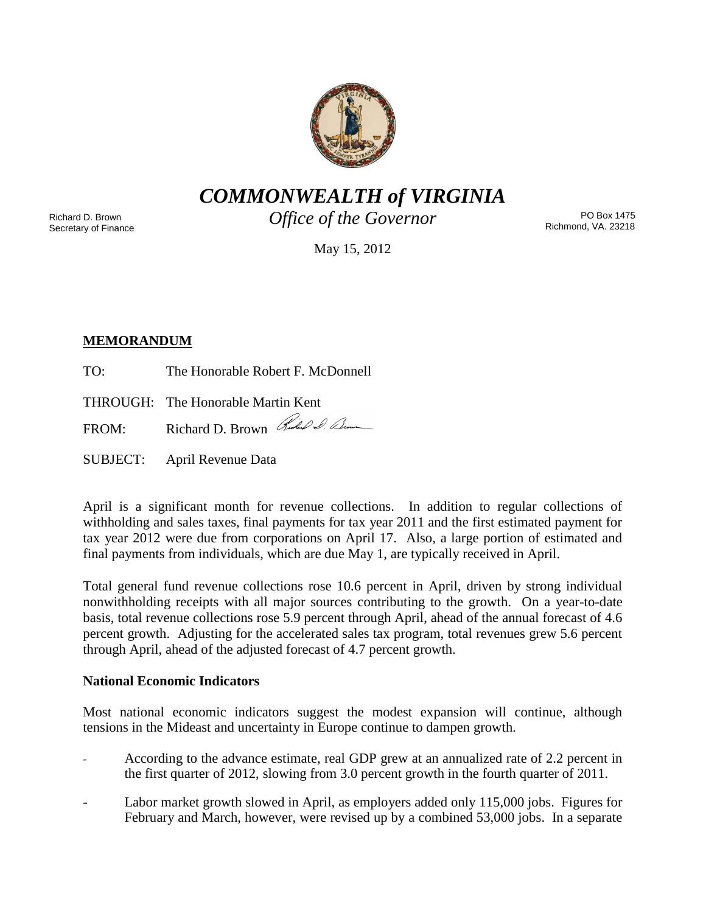

*COMMONWEALTH of VIRGINIA*

Richard D. Brown Secretary of Finance *Office of the Governor*

PO Box 1475 Richmond, VA. 23218

May 15, 2012

# **MEMORANDUM**

TO: The Honorable Robert F. McDonnell

THROUGH: The Honorable Martin Kent

FROM: Richard D. Brown Rules & Com

SUBJECT: April Revenue Data

April is a significant month for revenue collections. In addition to regular collections of withholding and sales taxes, final payments for tax year 2011 and the first estimated payment for tax year 2012 were due from corporations on April 17. Also, a large portion of estimated and final payments from individuals, which are due May 1, are typically received in April.

Total general fund revenue collections rose 10.6 percent in April, driven by strong individual nonwithholding receipts with all major sources contributing to the growth. On a year-to-date basis, total revenue collections rose 5.9 percent through April, ahead of the annual forecast of 4.6 percent growth. Adjusting for the accelerated sales tax program, total revenues grew 5.6 percent through April, ahead of the adjusted forecast of 4.7 percent growth.

## **National Economic Indicators**

Most national economic indicators suggest the modest expansion will continue, although tensions in the Mideast and uncertainty in Europe continue to dampen growth.

- According to the advance estimate, real GDP grew at an annualized rate of 2.2 percent in the first quarter of 2012, slowing from 3.0 percent growth in the fourth quarter of 2011.
- Labor market growth slowed in April, as employers added only 115,000 jobs. Figures for February and March, however, were revised up by a combined 53,000 jobs. In a separate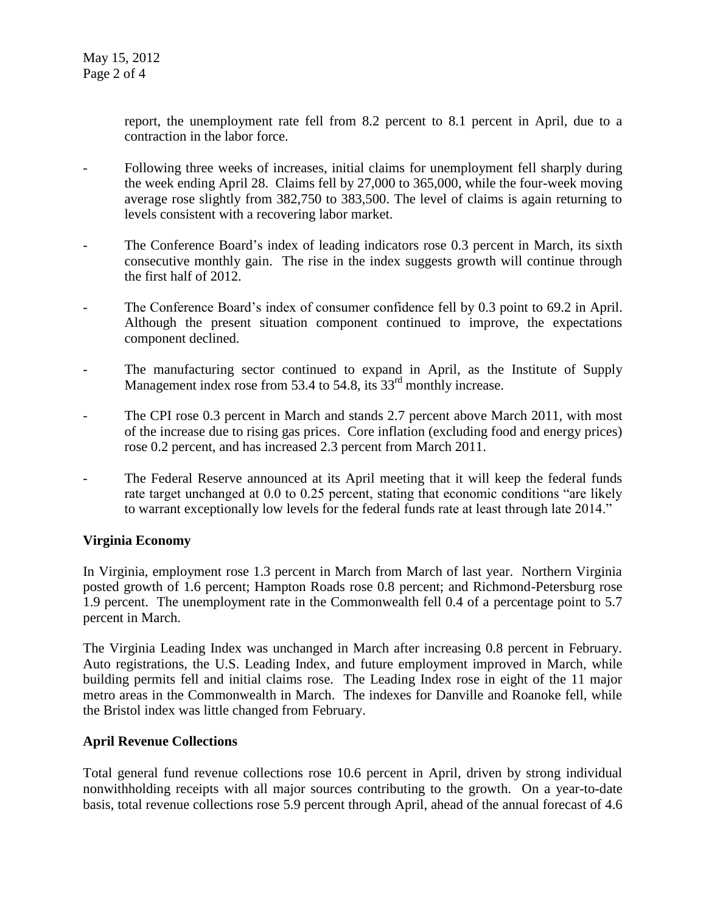report, the unemployment rate fell from 8.2 percent to 8.1 percent in April, due to a contraction in the labor force.

- Following three weeks of increases, initial claims for unemployment fell sharply during the week ending April 28. Claims fell by 27,000 to 365,000, while the four-week moving average rose slightly from 382,750 to 383,500. The level of claims is again returning to levels consistent with a recovering labor market.
- The Conference Board's index of leading indicators rose 0.3 percent in March, its sixth consecutive monthly gain. The rise in the index suggests growth will continue through the first half of 2012.
- The Conference Board's index of consumer confidence fell by 0.3 point to 69.2 in April. Although the present situation component continued to improve, the expectations component declined.
- The manufacturing sector continued to expand in April, as the Institute of Supply Management index rose from 53.4 to 54.8, its  $33<sup>rd</sup>$  monthly increase.
- The CPI rose 0.3 percent in March and stands 2.7 percent above March 2011, with most of the increase due to rising gas prices. Core inflation (excluding food and energy prices) rose 0.2 percent, and has increased 2.3 percent from March 2011.
- The Federal Reserve announced at its April meeting that it will keep the federal funds rate target unchanged at 0.0 to 0.25 percent, stating that economic conditions "are likely to warrant exceptionally low levels for the federal funds rate at least through late 2014."

## **Virginia Economy**

In Virginia, employment rose 1.3 percent in March from March of last year. Northern Virginia posted growth of 1.6 percent; Hampton Roads rose 0.8 percent; and Richmond-Petersburg rose 1.9 percent. The unemployment rate in the Commonwealth fell 0.4 of a percentage point to 5.7 percent in March.

The Virginia Leading Index was unchanged in March after increasing 0.8 percent in February. Auto registrations, the U.S. Leading Index, and future employment improved in March, while building permits fell and initial claims rose. The Leading Index rose in eight of the 11 major metro areas in the Commonwealth in March. The indexes for Danville and Roanoke fell, while the Bristol index was little changed from February.

## **April Revenue Collections**

Total general fund revenue collections rose 10.6 percent in April, driven by strong individual nonwithholding receipts with all major sources contributing to the growth. On a year-to-date basis, total revenue collections rose 5.9 percent through April, ahead of the annual forecast of 4.6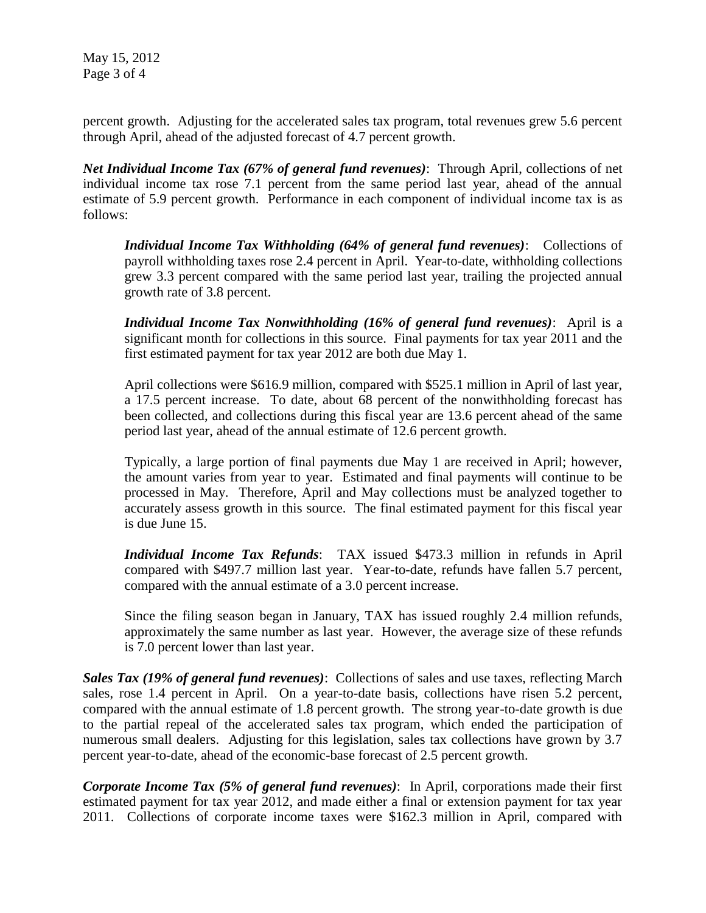May 15, 2012 Page 3 of 4

percent growth. Adjusting for the accelerated sales tax program, total revenues grew 5.6 percent through April, ahead of the adjusted forecast of 4.7 percent growth.

*Net Individual Income Tax (67% of general fund revenues)*: Through April, collections of net individual income tax rose 7.1 percent from the same period last year, ahead of the annual estimate of 5.9 percent growth. Performance in each component of individual income tax is as follows:

*Individual Income Tax Withholding (64% of general fund revenues)*: Collections of payroll withholding taxes rose 2.4 percent in April. Year-to-date, withholding collections grew 3.3 percent compared with the same period last year, trailing the projected annual growth rate of 3.8 percent.

*Individual Income Tax Nonwithholding (16% of general fund revenues)*: April is a significant month for collections in this source. Final payments for tax year 2011 and the first estimated payment for tax year 2012 are both due May 1.

April collections were \$616.9 million, compared with \$525.1 million in April of last year, a 17.5 percent increase. To date, about 68 percent of the nonwithholding forecast has been collected, and collections during this fiscal year are 13.6 percent ahead of the same period last year, ahead of the annual estimate of 12.6 percent growth.

Typically, a large portion of final payments due May 1 are received in April; however, the amount varies from year to year. Estimated and final payments will continue to be processed in May. Therefore, April and May collections must be analyzed together to accurately assess growth in this source. The final estimated payment for this fiscal year is due June 15.

*Individual Income Tax Refunds*: TAX issued \$473.3 million in refunds in April compared with \$497.7 million last year. Year-to-date, refunds have fallen 5.7 percent, compared with the annual estimate of a 3.0 percent increase.

Since the filing season began in January, TAX has issued roughly 2.4 million refunds, approximately the same number as last year. However, the average size of these refunds is 7.0 percent lower than last year.

*Sales Tax (19% of general fund revenues)*: Collections of sales and use taxes, reflecting March sales, rose 1.4 percent in April. On a year-to-date basis, collections have risen 5.2 percent, compared with the annual estimate of 1.8 percent growth. The strong year-to-date growth is due to the partial repeal of the accelerated sales tax program, which ended the participation of numerous small dealers. Adjusting for this legislation, sales tax collections have grown by 3.7 percent year-to-date, ahead of the economic-base forecast of 2.5 percent growth.

*Corporate Income Tax (5% of general fund revenues)*: In April, corporations made their first estimated payment for tax year 2012, and made either a final or extension payment for tax year 2011. Collections of corporate income taxes were \$162.3 million in April, compared with